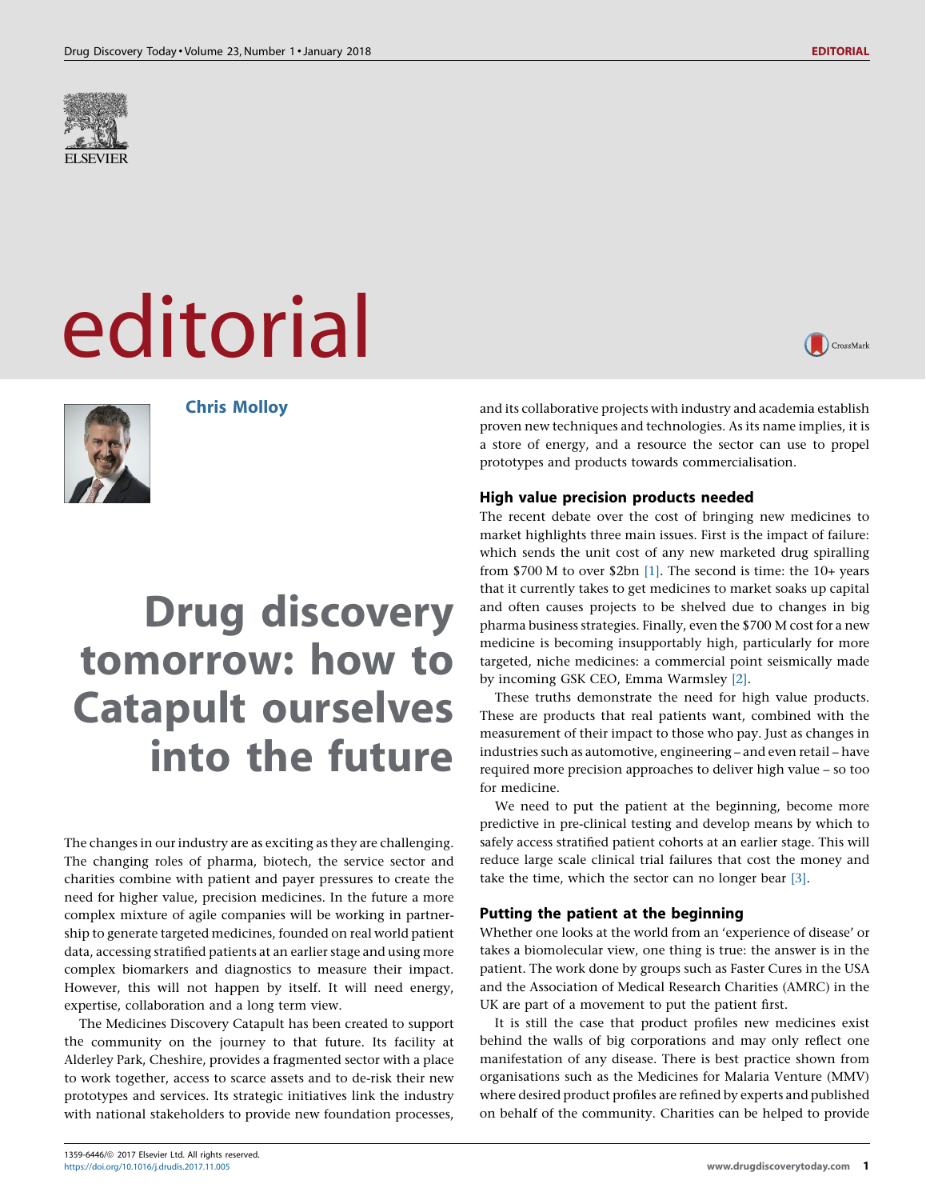

# editorial



Chris Molloy

# Drug discovery tomorrow: how to Catapult ourselves into the future

The changes in our industry are as exciting as they are challenging. The changing roles of pharma, biotech, the service sector and charities combine with patient and payer pressures to create the need for higher value, precision medicines. In the future a more complex mixture of agile companies will be working in partnership to generate targeted medicines, founded on real world patient data, accessing stratified patients at an earlier stage and using more complex biomarkers and diagnostics to measure their impact. However, this will not happen by itself. It will need energy, expertise, collaboration and a long term view.

The Medicines Discovery Catapult has been created to support the community on the journey to that future. Its facility at Alderley Park, Cheshire, provides a fragmented sector with a place to work together, access to scarce assets and to de-risk their new prototypes and services. Its strategic initiatives link the industry with national stakeholders to provide new foundation processes,



and its collaborative projects with industry and academia establish proven new techniques and technologies. As its name implies, it is a store of energy, and a resource the sector can use to propel prototypes and products towards commercialisation.

# High value precision products needed

The recent debate over the cost of bringing new medicines to market highlights three main issues. First is the impact of failure: which sends the unit cost of any new marketed drug spiralling from \$700 M to over \$2bn [\[1\].](#page-2-0) The second is time: the 10+ years that it currently takes to get medicines to market soaks up capital and often causes projects to be shelved due to changes in big pharma business strategies. Finally, even the \$700 M cost for a new medicine is becoming insupportably high, particularly for more targeted, niche medicines: a commercial point seismically made by incoming GSK CEO, Emma Warmsley [\[2\].](#page-2-0)

These truths demonstrate the need for high value products. These are products that real patients want, combined with the measurement of their impact to those who pay. Just as changes in industries such as automotive, engineering – and even retail – have required more precision approaches to deliver high value – so too for medicine.

We need to put the patient at the beginning, become more predictive in pre-clinical testing and develop means by which to safely access stratified patient cohorts at an earlier stage. This will reduce large scale clinical trial failures that cost the money and take the time, which the sector can no longer bear [\[3\].](#page-2-0)

# Putting the patient at the beginning

Whether one looks at the world from an 'experience of disease' or takes a biomolecular view, one thing is true: the answer is in the patient. The work done by groups such as Faster Cures in the USA and the Association of Medical Research Charities (AMRC) in the UK are part of a movement to put the patient first.

It is still the case that product profiles new medicines exist behind the walls of big corporations and may only reflect one manifestation of any disease. There is best practice shown from organisations such as the Medicines for Malaria Venture (MMV) where desired product profiles are refined by experts and published on behalf of the community. Charities can be helped to provide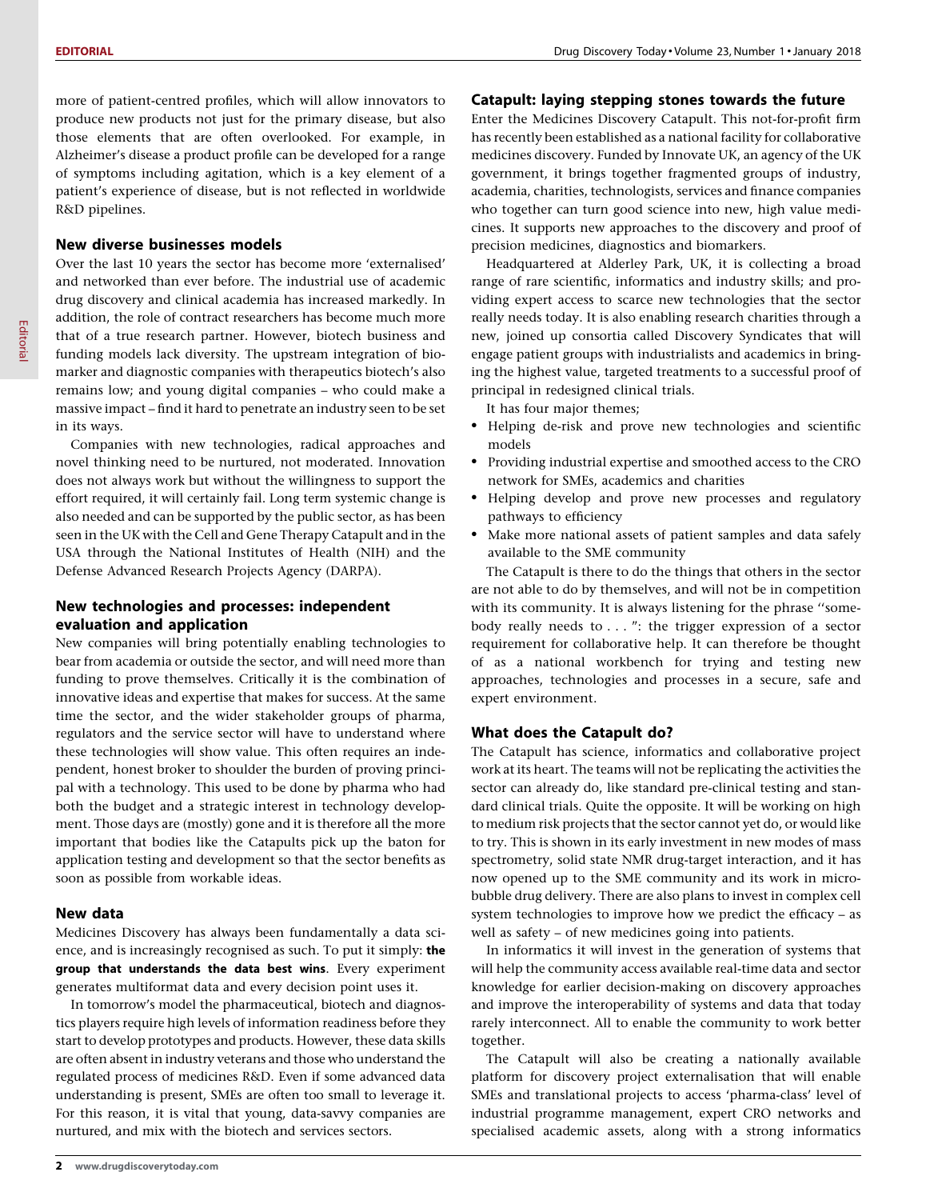more of patient-centred profiles, which will allow innovators to produce new products not just for the primary disease, but also those elements that are often overlooked. For example, in Alzheimer's disease a product profile can be developed for a range of symptoms including agitation, which is a key element of a patient's experience of disease, but is not reflected in worldwide R&D pipelines.

### New diverse businesses models

Over the last 10 years the sector has become more 'externalised' and networked than ever before. The industrial use of academic drug discovery and clinical academia has increased markedly. In addition, the role of contract researchers has become much more that of a true research partner. However, biotech business and funding models lack diversity. The upstream integration of biomarker and diagnostic companies with therapeutics biotech's also remains low; and young digital companies – who could make a massive impact – find it hard to penetrate an industry seen to be set in its ways.

Companies with new technologies, radical approaches and novel thinking need to be nurtured, not moderated. Innovation does not always work but without the willingness to support the effort required, it will certainly fail. Long term systemic change is also needed and can be supported by the public sector, as has been seen in the UK with the Cell and Gene Therapy Catapult and in the USA through the National Institutes of Health (NIH) and the Defense Advanced Research Projects Agency (DARPA).

### New technologies and processes: independent evaluation and application

New companies will bring potentially enabling technologies to bear from academia or outside the sector, and will need more than funding to prove themselves. Critically it is the combination of innovative ideas and expertise that makes for success. At the same time the sector, and the wider stakeholder groups of pharma, regulators and the service sector will have to understand where these technologies will show value. This often requires an independent, honest broker to shoulder the burden of proving principal with a technology. This used to be done by pharma who had both the budget and a strategic interest in technology development. Those days are (mostly) gone and it is therefore all the more important that bodies like the Catapults pick up the baton for application testing and development so that the sector benefits as soon as possible from workable ideas.

### New data

Medicines Discovery has always been fundamentally a data science, and is increasingly recognised as such. To put it simply: the group that understands the data best wins. Every experiment generates multiformat data and every decision point uses it.

In tomorrow's model the pharmaceutical, biotech and diagnostics players require high levels of information readiness before they start to develop prototypes and products. However, these data skills are often absent in industry veterans and those who understand the regulated process of medicines R&D. Even if some advanced data understanding is present, SMEs are often too small to leverage it. For this reason, it is vital that young, data-savvy companies are nurtured, and mix with the biotech and services sectors.

### Catapult: laying stepping stones towards the future

Enter the Medicines Discovery Catapult. This not-for-profit firm has recently been established as a national facility for collaborative medicines discovery. Funded by Innovate UK, an agency of the UK government, it brings together fragmented groups of industry, academia, charities, technologists, services and finance companies who together can turn good science into new, high value medicines. It supports new approaches to the discovery and proof of precision medicines, diagnostics and biomarkers.

Headquartered at Alderley Park, UK, it is collecting a broad range of rare scientific, informatics and industry skills; and providing expert access to scarce new technologies that the sector really needs today. It is also enabling research charities through a new, joined up consortia called Discovery Syndicates that will engage patient groups with industrialists and academics in bringing the highest value, targeted treatments to a successful proof of principal in redesigned clinical trials.

It has four major themes;

- Helping de-risk and prove new technologies and scientific models
- Providing industrial expertise and smoothed access to the CRO network for SMEs, academics and charities
- Helping develop and prove new processes and regulatory pathways to efficiency
- Make more national assets of patient samples and data safely available to the SME community

The Catapult is there to do the things that others in the sector are not able to do by themselves, and will not be in competition with its community. It is always listening for the phrase ''somebody really needs to . . . ": the trigger expression of a sector requirement for collaborative help. It can therefore be thought of as a national workbench for trying and testing new approaches, technologies and processes in a secure, safe and expert environment.

### What does the Catapult do?

The Catapult has science, informatics and collaborative project work at its heart. The teams will not be replicating the activities the sector can already do, like standard pre-clinical testing and standard clinical trials. Quite the opposite. It will be working on high to medium risk projects that the sector cannot yet do, or would like to try. This is shown in its early investment in new modes of mass spectrometry, solid state NMR drug-target interaction, and it has now opened up to the SME community and its work in microbubble drug delivery. There are also plans to invest in complex cell system technologies to improve how we predict the efficacy – as well as safety – of new medicines going into patients.

In informatics it will invest in the generation of systems that will help the community access available real-time data and sector knowledge for earlier decision-making on discovery approaches and improve the interoperability of systems and data that today rarely interconnect. All to enable the community to work better together.

The Catapult will also be creating a nationally available platform for discovery project externalisation that will enable SMEs and translational projects to access 'pharma-class' level of industrial programme management, expert CRO networks and specialised academic assets, along with a strong informatics